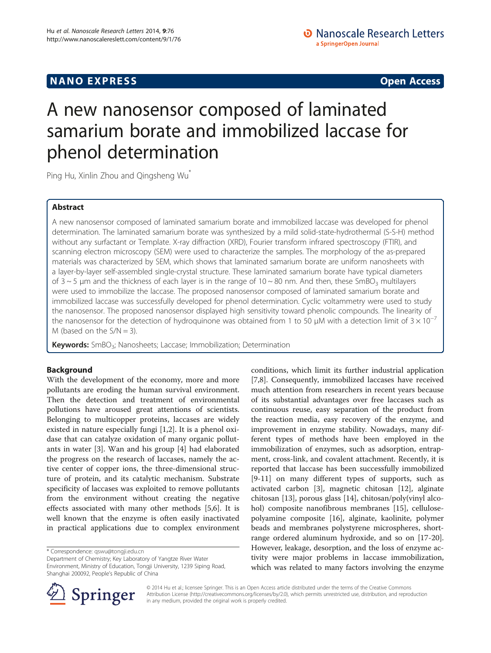# A new nanosensor composed of laminated samarium borate and immobilized laccase for phenol determination

Ping Hu, Xinlin Zhou and Qingsheng Wu<sup>\*</sup>

# Abstract

A new nanosensor composed of laminated samarium borate and immobilized laccase was developed for phenol determination. The laminated samarium borate was synthesized by a mild solid-state-hydrothermal (S-S-H) method without any surfactant or Template. X-ray diffraction (XRD), Fourier transform infrared spectroscopy (FTIR), and scanning electron microscopy (SEM) were used to characterize the samples. The morphology of the as-prepared materials was characterized by SEM, which shows that laminated samarium borate are uniform nanosheets with a layer-by-layer self-assembled single-crystal structure. These laminated samarium borate have typical diameters of  $3 \sim 5$  µm and the thickness of each layer is in the range of  $10 \sim 80$  nm. And then, these SmBO<sub>3</sub> multilayers were used to immobilize the laccase. The proposed nanosensor composed of laminated samarium borate and immobilized laccase was successfully developed for phenol determination. Cyclic voltammetry were used to study the nanosensor. The proposed nanosensor displayed high sensitivity toward phenolic compounds. The linearity of the nanosensor for the detection of hydroquinone was obtained from 1 to 50 μM with a detection limit of  $3 \times 10^{-7}$ M (based on the  $S/N = 3$ ).

Keywords: SmBO<sub>3</sub>; Nanosheets; Laccase; Immobilization; Determination

# Background

With the development of the economy, more and more pollutants are eroding the human survival environment. Then the detection and treatment of environmental pollutions have aroused great attentions of scientists. Belonging to multicopper proteins, laccases are widely existed in nature especially fungi [\[1,2](#page-5-0)]. It is a phenol oxidase that can catalyze oxidation of many organic pollutants in water [\[3](#page-5-0)]. Wan and his group [\[4](#page-5-0)] had elaborated the progress on the research of laccases, namely the active center of copper ions, the three-dimensional structure of protein, and its catalytic mechanism. Substrate specificity of laccases was exploited to remove pollutants from the environment without creating the negative effects associated with many other methods [\[5](#page-5-0),[6](#page-5-0)]. It is well known that the enzyme is often easily inactivated in practical applications due to complex environment

Department of Chemistry; Key Laboratory of Yangtze River Water Environment, Ministry of Education, Tongji University, 1239 Siping Road, Shanghai 200092, People's Republic of China

conditions, which limit its further industrial application [[7,8\]](#page-5-0). Consequently, immobilized laccases have received much attention from researchers in recent years because of its substantial advantages over free laccases such as continuous reuse, easy separation of the product from the reaction media, easy recovery of the enzyme, and improvement in enzyme stability. Nowadays, many different types of methods have been employed in the immobilization of enzymes, such as adsorption, entrapment, cross-link, and covalent attachment. Recently, it is reported that laccase has been successfully immobilized [[9-11](#page-5-0)] on many different types of supports, such as activated carbon [[3\]](#page-5-0), magnetic chitosan [\[12\]](#page-5-0), alginate chitosan [\[13\]](#page-5-0), porous glass [[14\]](#page-5-0), chitosan/poly(vinyl alcohol) composite nanofibrous membranes [\[15](#page-5-0)], cellulosepolyamine composite [[16\]](#page-6-0), alginate, kaolinite, polymer beads and membranes polystyrene microspheres, shortrange ordered aluminum hydroxide, and so on [\[17-20](#page-6-0)]. However, leakage, desorption, and the loss of enzyme activity were major problems in laccase immobilization, which was related to many factors involving the enzyme



© 2014 Hu et al.; licensee Springer. This is an Open Access article distributed under the terms of the Creative Commons Attribution License [\(http://creativecommons.org/licenses/by/2.0\)](http://creativecommons.org/licenses/by/2.0), which permits unrestricted use, distribution, and reproduction in any medium, provided the original work is properly credited.

<sup>\*</sup> Correspondence: [qswu@tongji.edu.cn](mailto:qswu@tongji.edu.cn)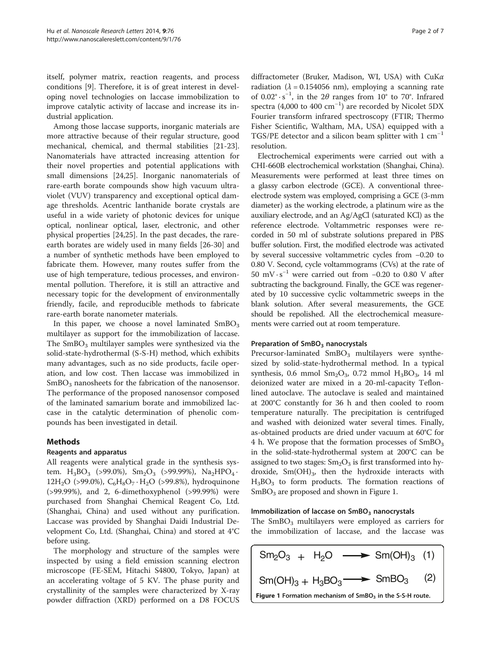itself, polymer matrix, reaction reagents, and process conditions [\[9](#page-5-0)]. Therefore, it is of great interest in developing novel technologies on laccase immobilization to improve catalytic activity of laccase and increase its industrial application.

Among those laccase supports, inorganic materials are more attractive because of their regular structure, good mechanical, chemical, and thermal stabilities [\[21-23](#page-6-0)]. Nanomaterials have attracted increasing attention for their novel properties and potential applications with small dimensions [\[24,25\]](#page-6-0). Inorganic nanomaterials of rare-earth borate compounds show high vacuum ultraviolet (VUV) transparency and exceptional optical damage thresholds. Acentric lanthanide borate crystals are useful in a wide variety of photonic devices for unique optical, nonlinear optical, laser, electronic, and other physical properties [[24,25\]](#page-6-0). In the past decades, the rareearth borates are widely used in many fields [[26-30](#page-6-0)] and a number of synthetic methods have been employed to fabricate them. However, many routes suffer from the use of high temperature, tedious processes, and environmental pollution. Therefore, it is still an attractive and necessary topic for the development of environmentally friendly, facile, and reproducible methods to fabricate rare-earth borate nanometer materials.

In this paper, we choose a novel laminated  $SmBO<sub>3</sub>$ multilayer as support for the immobilization of laccase. The  $SmBO<sub>3</sub>$  multilayer samples were synthesized via the solid-state-hydrothermal (S-S-H) method, which exhibits many advantages, such as no side products, facile operation, and low cost. Then laccase was immobilized in  $SmBO<sub>3</sub>$  nanosheets for the fabrication of the nanosensor. The performance of the proposed nanosensor composed of the laminated samarium borate and immobilized laccase in the catalytic determination of phenolic compounds has been investigated in detail.

## Methods

## Reagents and apparatus

All reagents were analytical grade in the synthesis system.  $H_3BO_3$  (>99.0%),  $Sm_2O_3$  (>99.99%),  $Na_2HPO_4$ . 12H<sub>2</sub>O (>99.0%),  $C_6H_8O_7 \cdot H_2O$  (>99.8%), hydroquinone (>99.99%), and 2, 6-dimethoxyphenol (>99.99%) were purchased from Shanghai Chemical Reagent Co, Ltd. (Shanghai, China) and used without any purification. Laccase was provided by Shanghai Daidi Industrial Development Co, Ltd. (Shanghai, China) and stored at 4°C before using.

The morphology and structure of the samples were inspected by using a field emission scanning electron microscope (FE-SEM, Hitachi S4800, Tokyo, Japan) at an accelerating voltage of 5 KV. The phase purity and crystallinity of the samples were characterized by X-ray powder diffraction (XRD) performed on a D8 FOCUS radiation ( $\lambda = 0.154056$  nm), employing a scanning rate of  $0.02^\circ \cdot s^{-1}$ , in the  $2\theta$  ranges from  $10^\circ$  to  $70^\circ$ . Infrared spectra (4,000 to 400 cm−<sup>1</sup> ) are recorded by Nicolet 5DX Fourier transform infrared spectroscopy (FTIR; Thermo Fisher Scientific, Waltham, MA, USA) equipped with a TGS/PE detector and a silicon beam splitter with  $1 \text{ cm}^{-1}$ resolution.

Electrochemical experiments were carried out with a CHI-660B electrochemical workstation (Shanghai, China). Measurements were performed at least three times on a glassy carbon electrode (GCE). A conventional threeelectrode system was employed, comprising a GCE (3-mm diameter) as the working electrode, a platinum wire as the auxiliary electrode, and an Ag/AgCl (saturated KCl) as the reference electrode. Voltammetric responses were recorded in 50 ml of substrate solutions prepared in PBS buffer solution. First, the modified electrode was activated by several successive voltammetric cycles from −0.20 to 0.80 V. Second, cycle voltammograms (CVs) at the rate of 50 mV · s−<sup>1</sup> were carried out from −0.20 to 0.80 V after subtracting the background. Finally, the GCE was regenerated by 10 successive cyclic voltammetric sweeps in the blank solution. After several measurements, the GCE should be repolished. All the electrochemical measurements were carried out at room temperature.

## Preparation of SmBO<sub>3</sub> nanocrystals

Precursor-laminated  $SmBO<sub>3</sub>$  multilayers were synthesized by solid-state-hydrothermal method. In a typical synthesis, 0.6 mmol  $Sm_2O_3$ , 0.72 mmol  $H_3BO_3$ , 14 ml deionized water are mixed in a 20-ml-capacity Teflonlined autoclave. The autoclave is sealed and maintained at 200°C constantly for 36 h and then cooled to room temperature naturally. The precipitation is centrifuged and washed with deionized water several times. Finally, as-obtained products are dried under vacuum at 60°C for 4 h. We propose that the formation processes of  $SmBO<sub>3</sub>$ in the solid-state-hydrothermal system at 200°C can be assigned to two stages:  $Sm<sub>2</sub>O<sub>3</sub>$  is first transformed into hydroxide,  $Sm(OH)_{3}$ , then the hydroxide interacts with  $H_3BO_3$  to form products. The formation reactions of  $SmBO<sub>3</sub>$  are proposed and shown in Figure 1.

## Immobilization of laccase on  $SmBO<sub>3</sub>$  nanocrystals

The  $SmBO<sub>3</sub>$  multilayers were employed as carriers for the immobilization of laccase, and the laccase was

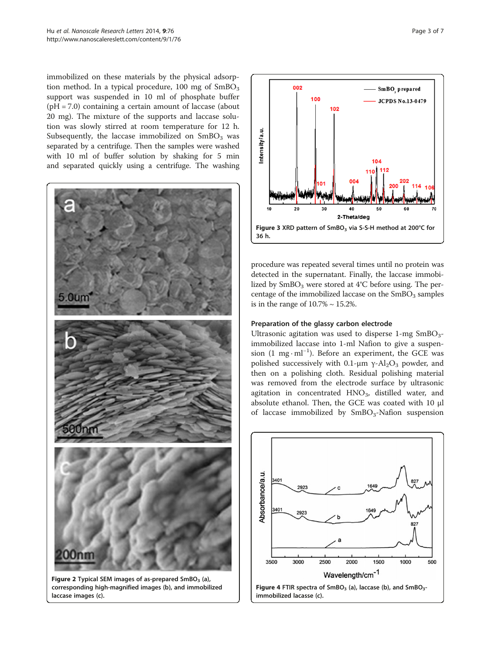<span id="page-2-0"></span>immobilized on these materials by the physical adsorption method. In a typical procedure,  $100$  mg of  $SmBO<sub>3</sub>$ support was suspended in 10 ml of phosphate buffer (pH = 7.0) containing a certain amount of laccase (about 20 mg). The mixture of the supports and laccase solution was slowly stirred at room temperature for 12 h. Subsequently, the laccase immobilized on  $SmBO<sub>3</sub>$  was separated by a centrifuge. Then the samples were washed with 10 ml of buffer solution by shaking for 5 min and separated quickly using a centrifuge. The washing



Figure 2 Typical SEM images of as-prepared  $SmBO<sub>3</sub>$  (a), corresponding high-magnified images (b), and immobilized laccase images (c).



procedure was repeated several times until no protein was detected in the supernatant. Finally, the laccase immobilized by  $SmBO<sub>3</sub>$  were stored at 4°C before using. The percentage of the immobilized laccase on the  $SmBO<sub>3</sub>$  samples is in the range of  $10.7\% \sim 15.2\%$ .

#### Preparation of the glassy carbon electrode

Ultrasonic agitation was used to disperse  $1$ -mg  $SmBO<sub>3</sub>$ immobilized laccase into 1-ml Nafion to give a suspension (1 mg · ml−<sup>1</sup> ). Before an experiment, the GCE was polished successively with 0.1-μm γ-Al<sub>2</sub>O<sub>3</sub> powder, and then on a polishing cloth. Residual polishing material was removed from the electrode surface by ultrasonic agitation in concentrated  $HNO<sub>3</sub>$ , distilled water, and absolute ethanol. Then, the GCE was coated with 10 μl of laccase immobilized by  $SmBO<sub>3</sub>-Nafion$  suspension

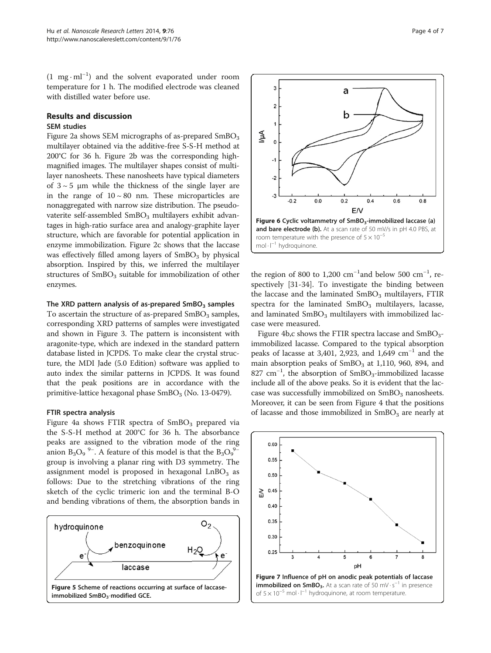<span id="page-3-0"></span>(1 mg · ml−<sup>1</sup> ) and the solvent evaporated under room temperature for 1 h. The modified electrode was cleaned with distilled water before use.

## Results and discussion SEM studies

Figure [2a](#page-2-0) shows SEM micrographs of as-prepared  $SmBO<sub>3</sub>$ multilayer obtained via the additive-free S-S-H method at 200°C for 36 h. Figure [2](#page-2-0)b was the corresponding highmagnified images. The multilayer shapes consist of multilayer nanosheets. These nanosheets have typical diameters of  $3 \sim 5$  μm while the thickness of the single layer are in the range of  $10 \sim 80$  nm. These microparticles are nonaggregated with narrow size distribution. The pseudovaterite self-assembled SmBO<sub>3</sub> multilayers exhibit advantages in high-ratio surface area and analogy-graphite layer structure, which are favorable for potential application in enzyme immobilization. Figure [2c](#page-2-0) shows that the laccase was effectively filled among layers of  $SmBO<sub>3</sub>$  by physical absorption. Inspired by this, we inferred the multilayer structures of  $SmBO<sub>3</sub>$  suitable for immobilization of other enzymes.

## The XRD pattern analysis of as-prepared  $SmBO<sub>3</sub>$  samples

To ascertain the structure of as-prepared  $SmBO<sub>3</sub>$  samples, corresponding XRD patterns of samples were investigated and shown in Figure [3.](#page-2-0) The pattern is inconsistent with aragonite-type, which are indexed in the standard pattern database listed in JCPDS. To make clear the crystal structure, the MDI Jade (5.0 Edition) software was applied to auto index the similar patterns in JCPDS. It was found that the peak positions are in accordance with the primitive-lattice hexagonal phase  $SmBO<sub>3</sub>$  (No. 13-0479).

## FTIR spectra analysis

Figure [4](#page-2-0)a shows FTIR spectra of  $SmBO<sub>3</sub>$  prepared via the S-S-H method at 200°C for 36 h. The absorbance peaks are assigned to the vibration mode of the ring anion  $B_3O_9$ <sup>9-</sup>. A feature of this model is that the  $B_3O_9^{9-}$ group is involving a planar ring with D3 symmetry. The assignment model is proposed in hexagonal  $LnBO<sub>3</sub>$  as follows: Due to the stretching vibrations of the ring sketch of the cyclic trimeric ion and the terminal B-O and bending vibrations of them, the absorption bands in





the region of 800 to 1,200  $\text{cm}^{-1}$  and below 500  $\text{cm}^{-1}$ , respectively [\[31](#page-6-0)-[34\]](#page-6-0). To investigate the binding between the laccase and the laminated  $SmBO<sub>3</sub>$  multilayers, FTIR spectra for the laminated  $SmBO<sub>3</sub>$  multilayers, lacasse, and laminated  $SmBO<sub>3</sub>$  multilayers with immobilized laccase were measured.

Figure [4](#page-2-0)b,c shows the FTIR spectra laccase and  $SmBO_{3}$ immobilized lacasse. Compared to the typical absorption peaks of lacasse at 3,401, 2,923, and 1,649  $cm^{-1}$  and the main absorption peaks of  $SmBO<sub>3</sub>$  at 1,110, 960, 894, and 827 cm<sup>-1</sup>, the absorption of SmBO<sub>3</sub>-immobilized lacasse include all of the above peaks. So it is evident that the laccase was successfully immobilized on  $SmBO<sub>3</sub>$  nanosheets. Moreover, it can be seen from Figure [4](#page-2-0) that the positions of lacasse and those immobilized in  $SmBO<sub>3</sub>$  are nearly at

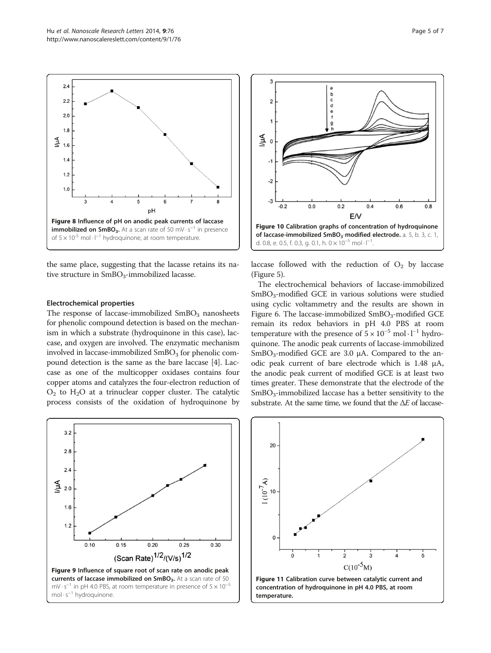<span id="page-4-0"></span> $2.4$ 

 $22$ 

 $2.0$ 

 $1.8$ 

 $1.4$  $1.2$ 

 $1.0$ 

 $\widetilde{\Xi}$  1.6



Figure 8 Influence of pH on anodic peak currents of laccase **immobilized on SmBO<sub>3</sub>.** At a scan rate of 50 mV $\cdot$ s<sup>-1</sup> in presence

pH

tive structure in  $SmBO<sub>3</sub>-immobilized$  lacasse.

#### Electrochemical properties

The response of laccase-immobilized  $SmBO<sub>3</sub>$  nanosheets for phenolic compound detection is based on the mechanism in which a substrate (hydroquinone in this case), laccase, and oxygen are involved. The enzymatic mechanism involved in laccase-immobilized  $SmBO<sub>3</sub>$  for phenolic compound detection is the same as the bare laccase [\[4](#page-5-0)]. Laccase as one of the multicopper oxidases contains four copper atoms and catalyzes the four-electron reduction of  $O_2$  to  $H_2O$  at a trinuclear copper cluster. The catalytic process consists of the oxidation of hydroquinone by





laccase followed with the reduction of  $O_2$  by laccase (Figure [5](#page-3-0)).

The electrochemical behaviors of laccase-immobilized SmBO<sub>3</sub>-modified GCE in various solutions were studied using cyclic voltammetry and the results are shown in Figure [6](#page-3-0). The laccase-immobilized  $SmBO<sub>3</sub>$ -modified GCE remain its redox behaviors in pH 4.0 PBS at room temperature with the presence of  $5 \times 10^{-5}$  mol $\cdot 1^{-1}$  hydroquinone. The anodic peak currents of laccase-immobilized  $SmBO<sub>3</sub>-modified GCE are 3.0 µA. Compared to the an$ odic peak current of bare electrode which is 1.48 μA, the anodic peak current of modified GCE is at least two times greater. These demonstrate that the electrode of the  $SmBO<sub>3</sub>-immobilized laccase has a better sensitivity to the$ substrate. At the same time, we found that the  $\Delta E$  of laccase-

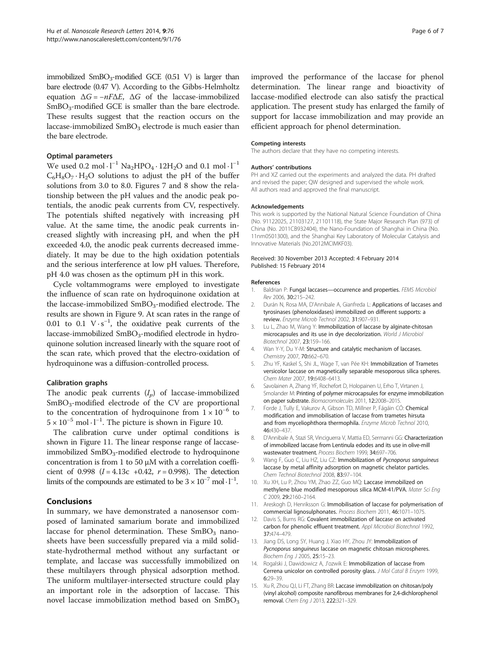<span id="page-5-0"></span>immobilized  $SmBO_3$ -modified GCE (0.51 V) is larger than bare electrode (0.47 V). According to the Gibbs-Helmholtz equation  $\Delta G = -nF\Delta E$ ,  $\Delta G$  of the laccase-immobilized SmBO<sub>3</sub>-modified GCE is smaller than the bare electrode. These results suggest that the reaction occurs on the laccase-immobilized SmBO<sub>3</sub> electrode is much easier than the bare electrode.

#### Optimal parameters

We used 0.2 mol  $\cdot$  l<sup>−1</sup> Na<sub>2</sub>HPO<sub>4</sub> $\cdot$  12H<sub>2</sub>O and 0.1 mol  $\cdot$  l<sup>−1</sup>  $C_6H_8O_7 \cdot H_2O$  solutions to adjust the pH of the buffer solutions from 3.0 to 8.0. Figures [7](#page-3-0) and [8](#page-4-0) show the relationship between the pH values and the anodic peak potentials, the anodic peak currents from CV, respectively. The potentials shifted negatively with increasing pH value. At the same time, the anodic peak currents increased slightly with increasing pH, and when the pH exceeded 4.0, the anodic peak currents decreased immediately. It may be due to the high oxidation potentials and the serious interference at low pH values. Therefore, pH 4.0 was chosen as the optimum pH in this work.

Cycle voltammograms were employed to investigate the influence of scan rate on hydroquinone oxidation at the laccase-immobilized  $SmBO<sub>3</sub>$ -modified electrode. The results are shown in Figure [9](#page-4-0). At scan rates in the range of 0.01 to 0.1  $V \cdot s^{-1}$ , the oxidative peak currents of the laccase-immobilized SmBO<sub>3</sub>-modified electrode in hydroquinone solution increased linearly with the square root of the scan rate, which proved that the electro-oxidation of hydroquinone was a diffusion-controlled process.

### Calibration graphs

The anodic peak currents  $(I_p)$  of laccase-immobilized  $SmBO<sub>3</sub>$ -modified electrode of the CV are proportional to the concentration of hydroquinone from  $1 \times 10^{-6}$  to  $5 \times 10^{-5}$  $5 \times 10^{-5}$  $5 \times 10^{-5}$  mol·l<sup>-1</sup>. The picture is shown in Figure 10.

The calibration curve under optimal conditions is shown in Figure [11.](#page-4-0) The linear response range of laccaseimmobilized  $SmBO<sub>3</sub>$ -modified electrode to hydroquinone concentration is from 1 to 50 μM with a correlation coefficient of 0.998 ( $I = 4.13c +0.42$ ,  $r = 0.998$ ). The detection limits of the compounds are estimated to be  $3 \times 10^{-7}$  mol · l<sup>-1</sup>.

#### Conclusions

In summary, we have demonstrated a nanosensor composed of laminated samarium borate and immobilized laccase for phenol determination. These  $SmBO<sub>3</sub>$  nanosheets have been successfully prepared via a mild solidstate-hydrothermal method without any surfactant or template, and laccase was successfully immobilized on these multilayers through physical adsorption method. The uniform multilayer-intersected structure could play an important role in the adsorption of laccase. This novel laccase immobilization method based on  $SmBO<sub>3</sub>$ 

improved the performance of the laccase for phenol determination. The linear range and bioactivity of laccase-modified electrode can also satisfy the practical application. The present study has enlarged the family of support for laccase immobilization and may provide an efficient approach for phenol determination.

#### Competing interests

The authors declare that they have no competing interests.

#### Authors' contributions

PH and XZ carried out the experiments and analyzed the data. PH drafted and revised the paper; QW designed and supervised the whole work. All authors read and approved the final manuscript.

#### Acknowledgements

This work is supported by the National Natural Science Foundation of China (No. 91122025, 21103127, 21101118), the State Major Research Plan (973) of China (No. 2011CB932404), the Nano-Foundation of Shanghai in China (No. 11nm0501300), and the Shanghai Key Laboratory of Molecular Catalysis and Innovative Materials (No.2012MCIMKF03).

#### Received: 30 November 2013 Accepted: 4 February 2014 Published: 15 February 2014

#### References

- 1. Baldrian P: Fungal laccases-occurrence and properties. FEMS Microbiol Rev 2006, 30:215–242.
- 2. Durán N, Rosa MA, D'Annibale A, Gianfreda L: Applications of laccases and tyrosinases (phenoloxidases) immobilized on different supports: a review. Enzyme Microb Technol 2002, 31:907–931.
- Lu L, Zhao M, Wang Y: Immobilization of laccase by alginate-chitosan microcapsules and its use in dye decolorization. World J Microbiol Biotechnol 2007, 23:159–166.
- 4. Wan Y-Y, Du Y-M: Structure and catalytic mechanism of laccases. Chemistry 2007, 70:662–670.
- 5. Zhu YF, Kaskel S, Shi JL, Wage T, van Pée KH: Immobilization of Trametes versicolor laccase on magnetically separable mesoporous silica spheres. Chem Mater 2007, 19:6408–6413.
- 6. Savolainen A, Zhang YF, Rochefort D, Holopainen U, Erho T, Virtanen J, Smolander M: Printing of polymer microcapsules for enzyme immobilization on paper substrate. Biomacromolecules 2011, 12:2008–2015.
- 7. Forde J, Tully E, Vakurov A, Gibson TD, Millner P, Fágáin CÓ: Chemical modification and immobilisation of laccase from trametes hirsuta and from myceliophthora thermophila. Enzyme Microb Technol 2010, 46:430–437.
- 8. D'Annibale A, Stazi SR, Vinciguerra V, Mattia ED, Sermanni GG: Characterization of immobilized laccase from Lentinula edodes and its use in olive-mill wastewater treatment. Process Biochem 1999, 34:697–706.
- 9. Wang F, Guo C, Liu HZ, Liu CZ: Immobilization of Pycnoporus sanguineus laccase by metal affinity adsorption on magnetic chelator particles. Chem Technol Biotechnol 2008, 83:97–104.
- 10. Xu XH, Lu P, Zhou YM, Zhao ZZ, Guo MQ: Laccase immobilized on methylene blue modified mesoporous silica MCM-41/PVA. Mater Sci Eng C 2009, 29:2160–2164.
- 11. Areskogh D, Henriksson G: Immobilisation of laccase for polymerisation of commercial lignosulphonates. Process Biochem 2011, 46:1071–1075.
- 12. Davis S, Burns RG: Covalent immobilization of laccase on activated carbon for phenolic effluent treatment. Appl Microbiol Biotechnol 1992, 37:474–479.
- 13. Jiang DS, Long SY, Huang J, Xiao HY, Zhou JY: Immobilization of Pycnoporus sanguineus laccase on magnetic chitosan microspheres. Biochem Eng J 2005, 25:15–23.
- 14. Rogalski J, Dawidowicz A, J'ozwik E: Immobilization of laccase from Cerrena unicolor on controlled porosity glass. J Mol Catal B Enzym 1999, 6:29–39.
- 15. Xu R, Zhou QJ, Li FT, Zhang BR: Laccase immobilization on chitosan/poly (vinyl alcohol) composite nanofibrous membranes for 2,4-dichlorophenol removal. Chem Eng J 2013, 222:321–329.